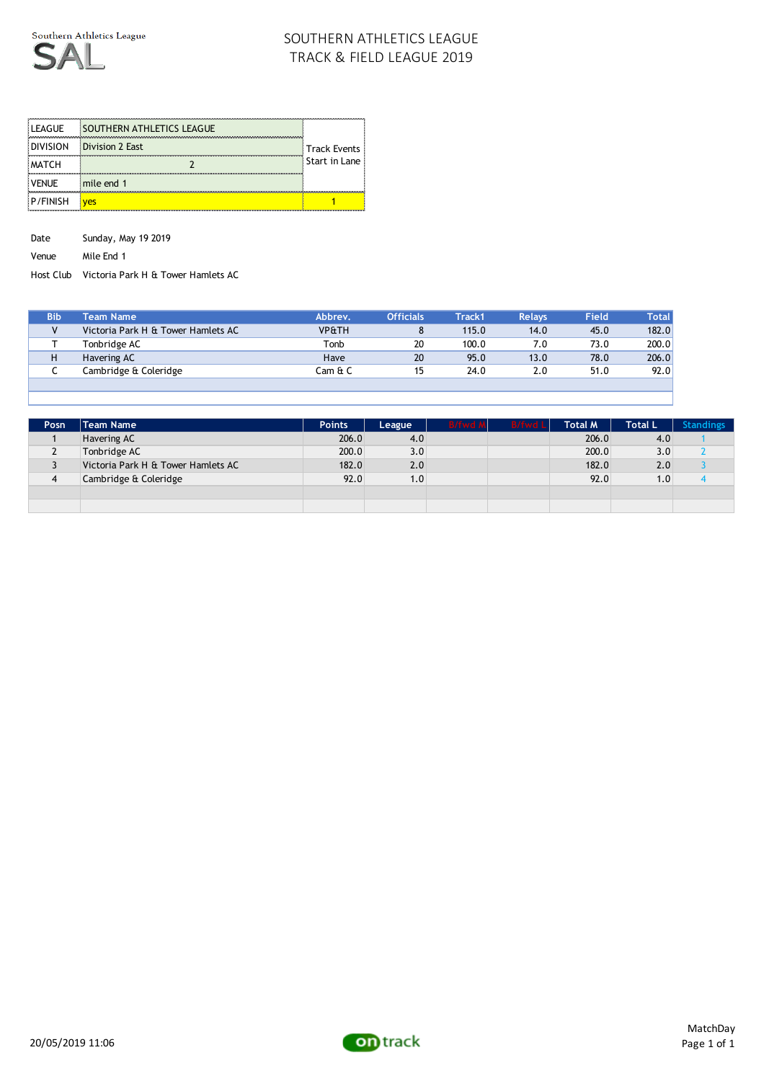

| <b>LEAGUE</b>   | SOUTHERN ATHLETICS LEAGUE |               |
|-----------------|---------------------------|---------------|
| <b>DIVISION</b> | <b>Division 2 East</b>    | Track Events  |
| <b>MATCH</b>    |                           | Start in Lane |
| <b>VENUE</b>    | mile end 1                |               |
| P/FINISH        |                           |               |

Date Sunday, May 19 2019

Venue Mile End 1

Host Club Victoria Park H & Tower Hamlets AC

| <b>Bib</b> | <b>Team Name</b>                   | Abbrev.          | <b>Officials</b> | <b>Track1</b> | <b>Relays</b> | <b>Field</b> | <b>Total</b> |
|------------|------------------------------------|------------------|------------------|---------------|---------------|--------------|--------------|
|            | Victoria Park H & Tower Hamlets AC | <b>VP&amp;TH</b> |                  | 115.0         | 14.0          | 45.0         | 182.0        |
|            | Tonbridge AC                       | Tonb             | 20               | 100.0         | 7.0           | 73.0         | 200.0        |
|            | Havering AC                        | Have             | 20               | 95.0          | 13.0          | 78.0         | 206.0        |
| ∼          | Cambridge & Coleridge              | Cam & C          | 15               | 24.0          | 2.0           | 51.0         | 92.0         |
|            |                                    |                  |                  |               |               |              |              |

| Posn           | Team Name                          | <b>Points</b> | League | B/fwd A | B/fwd Lll | <b>Total M</b> | <b>Total L</b>   | <b>Standings</b> |
|----------------|------------------------------------|---------------|--------|---------|-----------|----------------|------------------|------------------|
|                | Havering AC                        | 206.0         | 4.0    |         |           | 206.0          | 4.0              |                  |
| L              | Tonbridge AC                       | 200.0         | 3.0    |         |           | 200.0          | 3.0 <sub>1</sub> |                  |
|                | Victoria Park H & Tower Hamlets AC | 182.0         | 2.0    |         |           | 182.0          | 2.0              |                  |
| $\overline{4}$ | Cambridge & Coleridge              | 92.0          | 1.0    |         |           | 92.0           | 1.0              |                  |
|                |                                    |               |        |         |           |                |                  |                  |
|                |                                    |               |        |         |           |                |                  |                  |

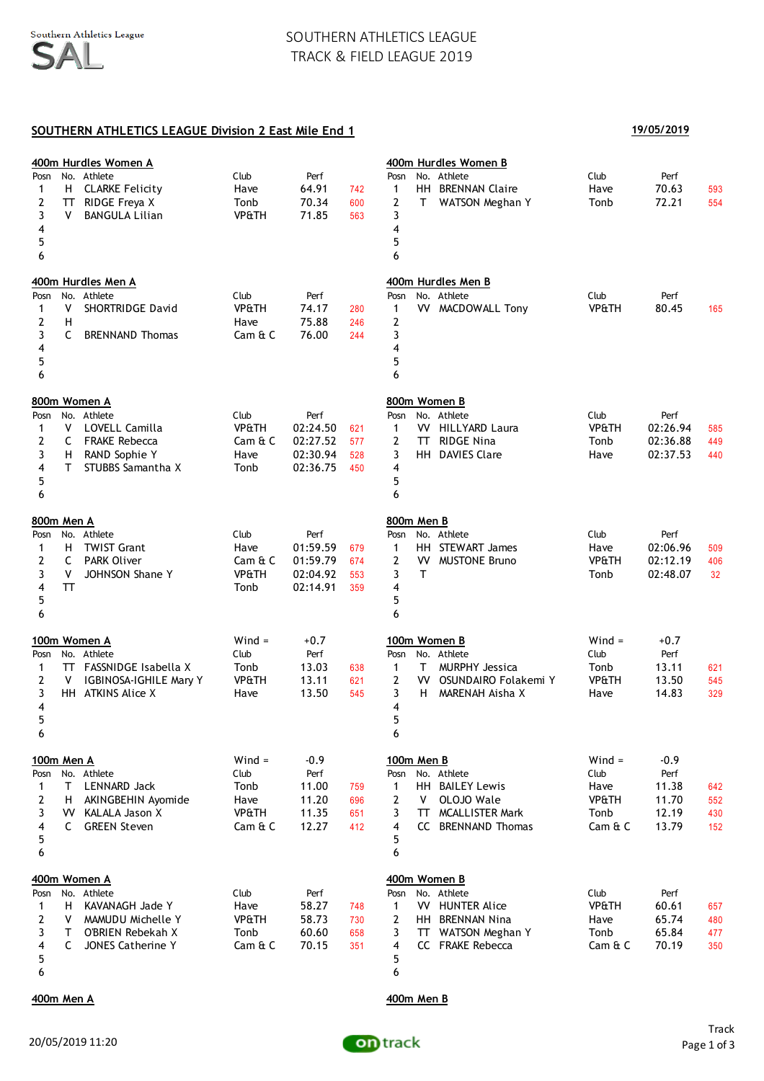### **SOUTHERN ATHLETICS LEAGUE Division 2 East Mile End 1**

### **400m Hurdles Women A 400m Hurdles Women B** Posn No. Athlete Club Perf Posn No. Athlete Club Perf 1 H CLARKE Felicity Have 64.91 742 1 HH BRENNAN Claire Have 70.63 593 2 TT RIDGE Freya X Tonb 70.34 600 2 T WATSON Meghan Y Tonb 72.21 554 3 V BANGULA Lilian VP&TH 71.85 563 3  $4 \overline{4}$  $5$  $6$ **400m Hurdles Men A 400m Hurdles Men B** Posn No. Athlete Club Perf Posn No. Athlete Club Perf 1 V SHORTRIDGE David VP&TH 74.17 280 1 VV MACDOWALL Tony VP&TH 80.45 165 2 H Have 75.88 246 2 3 C BRENNAND Thomas Cam & C 76.00 244 3  $4 \overline{4}$  $5$  $6$ **800m Women A 800m Women B** Posn No. Athlete Club Perf Posn No. Athlete Club Perf 1 V LOVELL Camilla VP&TH 02:24.50 621 1 VV HILLYARD Laura VP&TH 02:26.94 585 2 C FRAKE Rebecca Cam & C 02:27.52 577 2 TT RIDGE Nina Tonb 02:36.88 449 3 H RAND Sophie Y Have 02:30.94 528 3 HH DAVIES Clare Have 02:37.53 440 4 T STUBBS Samantha X Tonb 02:36.75 450 4  $5$  $6$ **800m Men A 800m Men B** Posn No. Athlete Club Perf Posn No. Athlete Club Perf 1 H TWIST Grant **Have** 01:59.59 679 1 HH STEWART James Have 02:06.96 509 2 C PARK Oliver Cam & C 01:59.79 674 2 VV MUSTONE Bruno VP&TH 02:12.19 406 3 V JOHNSON Shane Y VP&TH 02:04.92 553 3 T Tonb 02:48.07 32 4 TT Tonb 02:14.91 359 4  $5$  $6$ **100m Women A** Wind = +0.7 **100m Women B** Wind = +0.7 Posn No. Athlete Club Perf Posn No. Athlete Club Perf 1 TT FASSNIDGE Isabella X Tonb 13.03 638 1 T MURPHY Jessica Tonb 13.11 621 2 V IGBINOSA-IGHILE Mary Y VP&TH 13.11 621 2 VV OSUNDAIRO Folakemi Y VP&TH 13.50 545 3 HH ATKINS Alice X 13.50 545 3 H MARENAH Aisha X Have 14.83 329  $4 \overline{4}$  $5$  $6$ **100m Men A** Wind = -0.9 **100m Men B** Wind = -0.9 Posn No. Athlete Club Perf Posn No. Athlete Club Perf 1 T LENNARD Jack 1 Tonb 11.00 759 1 HH BAILEY Lewis 3 Have 11.38 642 2 H AKINGBEHIN Ayomide Have 11.20 696 2 V OLOJO Wale 696 VP&TH 11.70 552 3 W KALALA Jason X 7 VP&TH 11.35 651 3 TT MCALLISTER Mark Tonb 12.19 430 4 C GREEN Steven Cam & C 12.27 412 4 CC BRENNAND Thomas Cam & C 13.79 152  $5$  $6$ **400m Women A 400m Women B** Posn No. Athlete Club Perf Posn No. Athlete Club Perf 1 H KAVANAGH Jade Y Have 58.27 748 1 VV HUNTER Alice VP&TH 60.61 657 2 V MAMUDU Michelle Y VP&TH 58.73 730 2 HH BRENNAN Nina Have 65.74 480 3 T O'BRIEN Rebekah X Tonb 60.60 658 3 TT WATSON Meghan Y Tonb 65.84 477 4 C JONES Catherine Y Cam & C 70.15 351 4 CC FRAKE Rebecca Cam & C 70.19 350  $5$  $6$

**400m Men A 400m Men B**



**19/05/2019**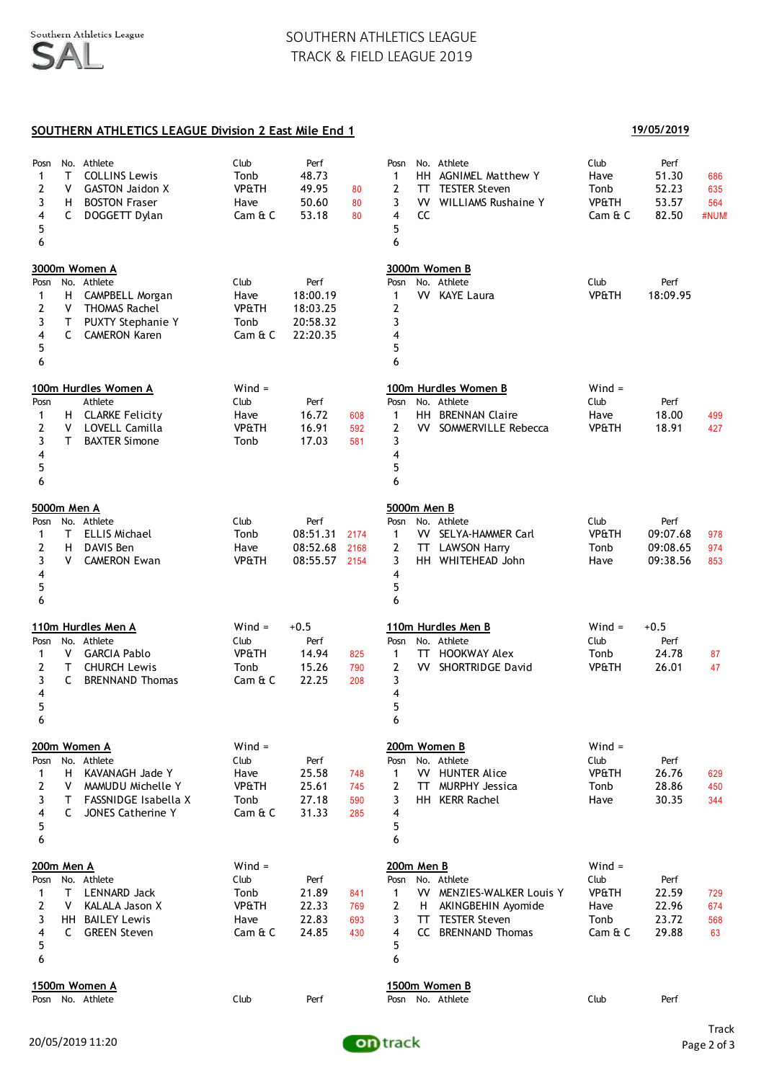### **SOUTHERN ATHLETICS LEAGUE Division 2 East Mile End 1 19/05/2019**

| Posn<br>1<br>2<br>3<br>4<br>5<br>6                | т<br>۷<br>H.<br>C | No. Athlete<br><b>COLLINS Lewis</b><br><b>GASTON Jaidon X</b><br><b>BOSTON Fraser</b><br>DOGGETT Dylan                      | Club<br>Tonb<br><b>VP&amp;TH</b><br>Have<br>Cam & C             | Perf<br>48.73<br>49.95<br>50.60<br>53.18             | 80<br>80<br>80           | Posn<br>No. Athlete<br>HH .<br><b>AGNIMEL Matthew Y</b><br>1<br>2<br><b>TESTER Steven</b><br>TT.<br>3<br>VV.<br><b>WILLIAMS Rushaine Y</b><br>$\overline{4}$<br><b>CC</b><br>5<br>6     | Club<br>Have<br>Tonb<br><b>VP&amp;TH</b><br>Cam & C             | Perf<br>51.30<br>52.23<br>53.57<br>82.50 | 686<br>635<br>564<br>#NUM! |
|---------------------------------------------------|-------------------|-----------------------------------------------------------------------------------------------------------------------------|-----------------------------------------------------------------|------------------------------------------------------|--------------------------|-----------------------------------------------------------------------------------------------------------------------------------------------------------------------------------------|-----------------------------------------------------------------|------------------------------------------|----------------------------|
| Posn<br>1<br>2<br>3<br>4<br>5<br>6                | н<br>V<br>T<br>C  | 3000m Women A<br>No. Athlete<br>CAMPBELL Morgan<br><b>THOMAS Rachel</b><br><b>PUXTY Stephanie Y</b><br><b>CAMERON Karen</b> | Club<br>Have<br><b>VP&amp;TH</b><br>Tonb<br>Cam & C             | Perf<br>18:00.19<br>18:03.25<br>20:58.32<br>22:20.35 |                          | 3000m Women B<br>No. Athlete<br>Posn<br>1<br><b>VV</b> KAYE Laura<br>2<br>3<br>4<br>5<br>6                                                                                              | Club<br><b>VP&amp;TH</b>                                        | Perf<br>18:09.95                         |                            |
| Posn<br>1<br>2<br>3<br>4<br>5<br>6                | v<br>Τ            | 100m Hurdles Women A<br>Athlete<br>H CLARKE Felicity<br>LOVELL Camilla<br><b>BAXTER Simone</b>                              | $Wind =$<br>Club<br>Have<br><b>VP&amp;TH</b><br>Tonb            | Perf<br>16.72<br>16.91<br>17.03                      | 608<br>592<br>581        | 100m Hurdles Women B<br>No. Athlete<br>Posn<br>1<br>HH BRENNAN Claire<br>2<br>VV.<br>SOMMERVILLE Rebecca<br>3<br>4<br>5<br>6                                                            | $Wind =$<br>Club<br>Have<br><b>VP&amp;TH</b>                    | Perf<br>18.00<br>18.91                   | 499<br>427                 |
| 5000m Men A<br>Posn<br>1<br>2<br>3<br>4<br>5<br>6 | T<br>н<br>۷       | No. Athlete<br><b>ELLIS Michael</b><br>DAVIS Ben<br><b>CAMERON Ewan</b>                                                     | Club<br>Tonb<br>Have<br><b>VP&amp;TH</b>                        | Perf<br>08:51.31<br>08:52.68<br>08:55.57 2154        | 2174<br>2168             | 5000m Men B<br>No. Athlete<br>Posn<br>VV SELYA-HAMMER Carl<br>1<br>$\overline{2}$<br><b>LAWSON Harry</b><br>TT.<br>3<br>HH WHITEHEAD John<br>4<br>5<br>6                                | Club<br><b>VP&amp;TH</b><br>Tonb<br>Have                        | Perf<br>09:07.68<br>09:08.65<br>09:38.56 | 978<br>974<br>853          |
| Posn<br>1<br>2<br>3<br>4<br>5<br>6                | V<br>T<br>C       | 110m Hurdles Men A<br>No. Athlete<br><b>GARCIA Pablo</b><br><b>CHURCH Lewis</b><br><b>BRENNAND Thomas</b>                   | $Wind =$<br>Club<br><b>VP&amp;TH</b><br>Tonb<br>Cam & C         | $+0.5$<br>Perf<br>14.94<br>15.26<br>22.25            | 825<br>790<br>208        | 110m Hurdles Men B<br>No. Athlete<br>Posn<br>$\mathbf{1}$<br><b>HOOKWAY Alex</b><br>TΤ<br>2<br><b>VV SHORTRIDGE David</b><br>3<br>4<br>5<br>6                                           | $Wind =$<br>Club<br>Tonb<br><b>VP&amp;TH</b>                    | $+0.5$<br>Perf<br>24.78<br>26.01         | 87<br>47                   |
| Posn<br>1<br>2<br>3<br>4<br>5<br>6                | н<br>v<br>Т<br>C  | 200m Women A<br>No. Athlete<br>KAVANAGH Jade Y<br>MAMUDU Michelle Y<br>FASSNIDGE Isabella X<br>JONES Catherine Y            | $Wind =$<br>Club<br>Have<br><b>VP&amp;TH</b><br>Tonb<br>Cam & C | Perf<br>25.58<br>25.61<br>27.18<br>31.33             | 748<br>745<br>590<br>285 | 200m Women B<br>No. Athlete<br>Posn<br><b>VV HUNTER Alice</b><br>$\mathbf{1}$<br><b>MURPHY Jessica</b><br>2<br>TT.<br>3<br>HH KERR Rachel<br>4<br>5<br>6                                | $Wind =$<br>Club<br><b>VP&amp;TH</b><br>Tonb<br>Have            | Perf<br>26.76<br>28.86<br>30.35          | 629<br>450<br>344          |
| 200m Men A<br>Posn<br>1<br>2<br>3<br>4<br>5<br>6  | T<br>v<br>C       | No. Athlete<br>LENNARD Jack<br>KALALA Jason X<br>HH BAILEY Lewis<br><b>GREEN Steven</b>                                     | $Wind =$<br>Club<br>Tonb<br><b>VP&amp;TH</b><br>Have<br>Cam & C | Perf<br>21.89<br>22.33<br>22.83<br>24.85             | 841<br>769<br>693<br>430 | 200m Men B<br>No. Athlete<br>Posn<br>VV MENZIES-WALKER Louis Y<br>$\mathbf{1}$<br>2<br>AKINGBEHIN Ayomide<br>H.<br>3<br><b>TESTER Steven</b><br>TΤ<br>4<br>CC BRENNAND Thomas<br>5<br>6 | $Wind =$<br>Club<br><b>VP&amp;TH</b><br>Have<br>Tonb<br>Cam & C | Perf<br>22.59<br>22.96<br>23.72<br>29.88 | 729<br>674<br>568<br>63    |
|                                                   |                   | 1500m Women A<br>Posn No. Athlete                                                                                           | Club                                                            | Perf                                                 |                          | 1500m Women B<br>Posn No. Athlete                                                                                                                                                       | Club                                                            | Perf                                     |                            |

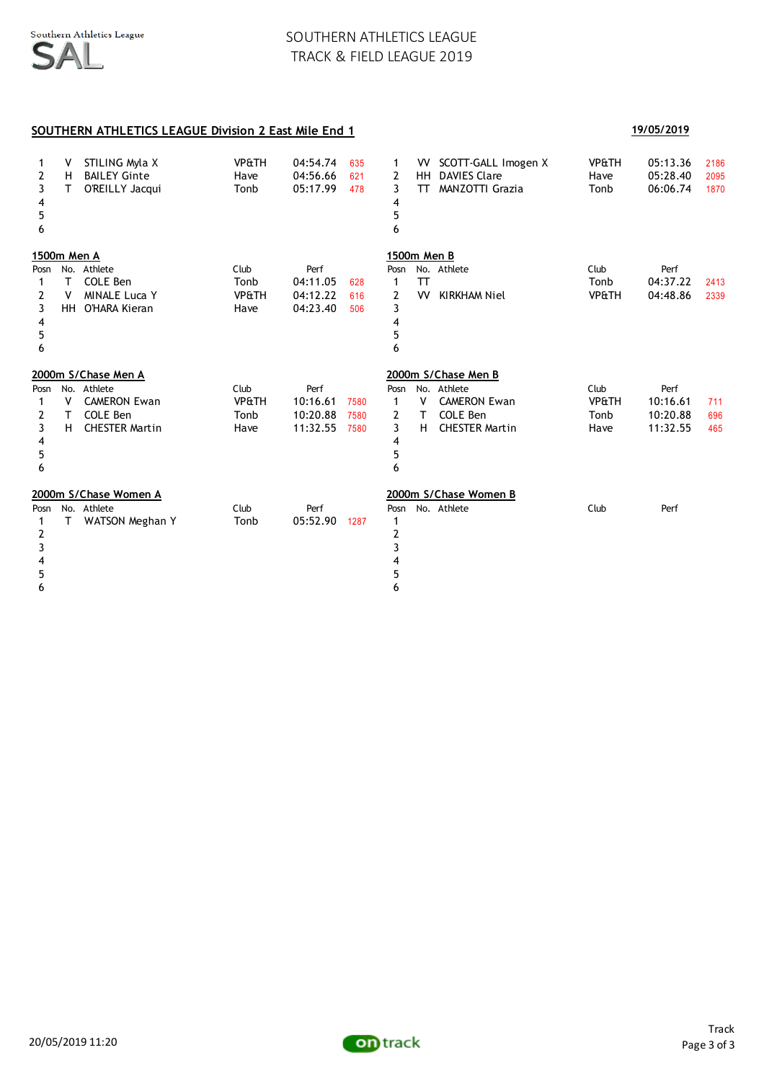### **SOUTHERN ATHLETICS LEAGUE Division 2 East Mile End 1 19/05/2019**

| 1<br>2<br>3<br>4<br>5<br>6         | v<br>H<br>T.  | STILING Myla X<br><b>BAILEY Ginte</b><br>O'REILLY Jacqui         | <b>VP&amp;TH</b><br>Have<br>Tonb         | 04:54.74<br>04:56.66<br>05:17.99         | 635<br>621<br>478 | 1<br>$\overline{2}$<br>3<br>4<br>5<br>6 | VV l<br>HH<br>TT. | SCOTT-GALL Imogen X<br><b>DAVIES Clare</b><br><b>MANZOTTI Grazia</b> | <b>VP&amp;TH</b><br>Have<br>Tonb | 05:13.36<br>05:28.40<br>06:06.74 | 2186<br>2095<br>1870 |
|------------------------------------|---------------|------------------------------------------------------------------|------------------------------------------|------------------------------------------|-------------------|-----------------------------------------|-------------------|----------------------------------------------------------------------|----------------------------------|----------------------------------|----------------------|
|                                    | 1500m Men A   |                                                                  |                                          |                                          |                   | 1500m Men B                             |                   |                                                                      |                                  |                                  |                      |
| Posn<br>1<br>2<br>3<br>4<br>5<br>6 | т<br>v<br>HH. | No. Athlete<br>COLE Ben<br><b>MINALE Luca Y</b><br>O'HARA Kieran | Club<br>Tonb<br><b>VP&amp;TH</b><br>Have | Perf<br>04:11.05<br>04:12.22<br>04:23.40 | 628<br>616<br>506 | Posn<br>1<br>2<br>3<br>4<br>5<br>6      | <b>TT</b><br>VV   | No. Athlete<br><b>KIRKHAM Niel</b>                                   | Club<br>Tonb<br><b>VP&amp;TH</b> | Perf<br>04:37.22<br>04:48.86     | 2413<br>2339         |
|                                    |               | 2000m S/Chase Men A                                              |                                          |                                          |                   |                                         |                   | 2000m S/Chase Men B                                                  |                                  |                                  |                      |
| Posn                               |               | No. Athlete                                                      | Club                                     | Perf                                     |                   | Posn                                    |                   | No. Athlete                                                          | Club                             | Perf                             |                      |
| 1<br>2                             | ۷<br>т        | <b>CAMERON Ewan</b><br>COLE Ben                                  | <b>VP&amp;TH</b><br>Tonb                 | 10:16.61<br>10:20.88                     | 7580<br>7580      | 1<br>$\overline{2}$                     | v<br>T.           | <b>CAMERON Ewan</b><br><b>COLE Ben</b>                               | <b>VP&amp;TH</b><br>Tonb         | 10:16.61<br>10:20.88             | 711<br>696           |
| 3                                  | H             | <b>CHESTER Martin</b>                                            | Have                                     | 11:32.55                                 | 7580              | 3                                       | H.                | <b>CHESTER Martin</b>                                                | Have                             | 11:32.55                         | 465                  |
| 4                                  |               |                                                                  |                                          |                                          |                   | 4                                       |                   |                                                                      |                                  |                                  |                      |
| 5                                  |               |                                                                  |                                          |                                          |                   | 5                                       |                   |                                                                      |                                  |                                  |                      |
| 6                                  |               |                                                                  |                                          |                                          |                   | 6                                       |                   |                                                                      |                                  |                                  |                      |
|                                    |               | 2000m S/Chase Women A                                            |                                          |                                          |                   |                                         |                   | 2000m S/Chase Women B                                                |                                  |                                  |                      |
| Posn                               |               | No. Athlete                                                      | Club                                     | Perf                                     |                   | Posn                                    |                   | No. Athlete                                                          | Club                             | Perf                             |                      |
| 1                                  | T.            | WATSON Meghan Y                                                  | Tonb                                     | 05:52.90                                 | 1287              | 1                                       |                   |                                                                      |                                  |                                  |                      |
| 2                                  |               |                                                                  |                                          |                                          |                   | 2                                       |                   |                                                                      |                                  |                                  |                      |
| 3                                  |               |                                                                  |                                          |                                          |                   | 3                                       |                   |                                                                      |                                  |                                  |                      |
| 4                                  |               |                                                                  |                                          |                                          |                   |                                         |                   |                                                                      |                                  |                                  |                      |
| 5                                  |               |                                                                  |                                          |                                          |                   | 5                                       |                   |                                                                      |                                  |                                  |                      |
| 6                                  |               |                                                                  |                                          |                                          |                   | 6                                       |                   |                                                                      |                                  |                                  |                      |

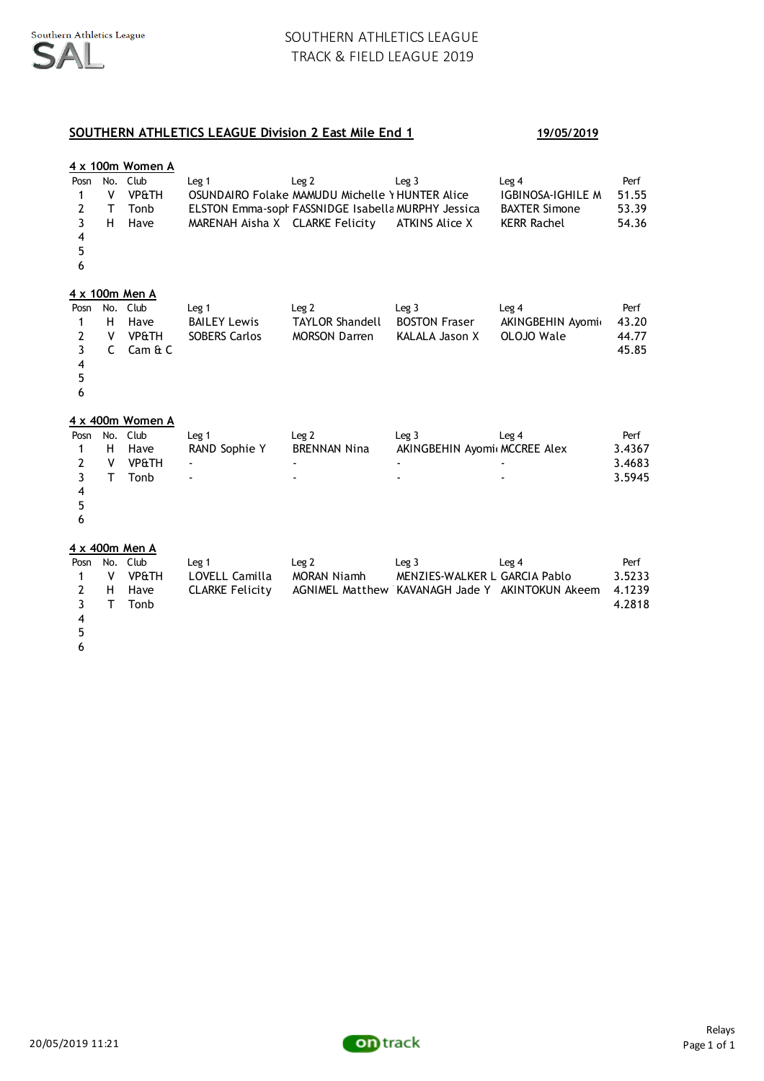# **SOUTHERN ATHLETICS LEAGUE Division 2 East Mile End 1 19/05/2019**

|                                                                                |                               | 4 x 100m Women A                             |                                                              |                                                                                                                           |                                                                                                      |                                                                                 |                                    |
|--------------------------------------------------------------------------------|-------------------------------|----------------------------------------------|--------------------------------------------------------------|---------------------------------------------------------------------------------------------------------------------------|------------------------------------------------------------------------------------------------------|---------------------------------------------------------------------------------|------------------------------------|
| Posn<br>1<br>2<br>$\overline{3}$<br>4<br>5<br>6                                | No.<br>V<br>т<br>H.           | Club<br><b>VP&amp;TH</b><br>Tonb<br>Have     | Leg <sub>1</sub><br>MARENAH Aisha X CLARKE Felicity          | Leg <sub>2</sub><br>OSUNDAIRO Folake MAMUDU Michelle Y HUNTER Alice<br>ELSTON Emma-soph FASSNIDGE Isabella MURPHY Jessica | Leq <sub>3</sub><br><b>ATKINS Alice X</b>                                                            | Leg 4<br><b>IGBINOSA-IGHILE M</b><br><b>BAXTER Simone</b><br><b>KERR Rachel</b> | Perf<br>51.55<br>53.39<br>54.36    |
|                                                                                |                               | 4 x 100m Men A                               |                                                              |                                                                                                                           |                                                                                                      |                                                                                 |                                    |
| Posn<br>1<br>$\mathbf{2}$<br>3<br>$\overline{\mathbf{4}}$<br>5<br>6            | No.<br>H<br>۷<br>$\mathsf{C}$ | Club<br>Have<br><b>VP&amp;TH</b><br>Cam & C  | Leg 1<br><b>BAILEY Lewis</b><br><b>SOBERS Carlos</b>         | Leg <sub>2</sub><br><b>TAYLOR Shandell</b><br><b>MORSON Darren</b>                                                        | Leg <sub>3</sub><br><b>BOSTON Fraser</b><br>KALALA Jason X                                           | Leg <sub>4</sub><br>AKINGBEHIN Ayomi<br>OLOJO Wale                              | Perf<br>43.20<br>44.77<br>45.85    |
|                                                                                |                               | 4 x 400m Women A                             |                                                              |                                                                                                                           |                                                                                                      |                                                                                 |                                    |
| Posn<br>1<br>2<br>$\overline{\mathbf{3}}$<br>$\overline{\mathbf{4}}$<br>5<br>6 | No.<br>н<br>v<br>T            | Club<br>Have<br><b>VP&amp;TH</b><br>Tonb     | Leg <sub>1</sub><br>RAND Sophie Y                            | Leg <sub>2</sub><br><b>BRENNAN Nina</b>                                                                                   | Leg <sub>3</sub><br>AKINGBEHIN Ayomi MCCREE Alex                                                     | Leg <sub>4</sub>                                                                | Perf<br>3.4367<br>3.4683<br>3.5945 |
|                                                                                |                               | 4 x 400m Men A                               |                                                              |                                                                                                                           |                                                                                                      |                                                                                 |                                    |
| Posn<br>1<br>2<br>3                                                            | v<br>н<br>T                   | No. Club<br><b>VP&amp;TH</b><br>Have<br>Tonb | Leg <sub>1</sub><br>LOVELL Camilla<br><b>CLARKE Felicity</b> | Leg <sub>2</sub><br><b>MORAN Niamh</b>                                                                                    | Leg <sub>3</sub><br>MENZIES-WALKER L GARCIA Pablo<br>AGNIMEL Matthew KAVANAGH Jade Y AKINTOKUN Akeem | Leg <sub>4</sub>                                                                | Perf<br>3.5233<br>4.1239<br>4.2818 |

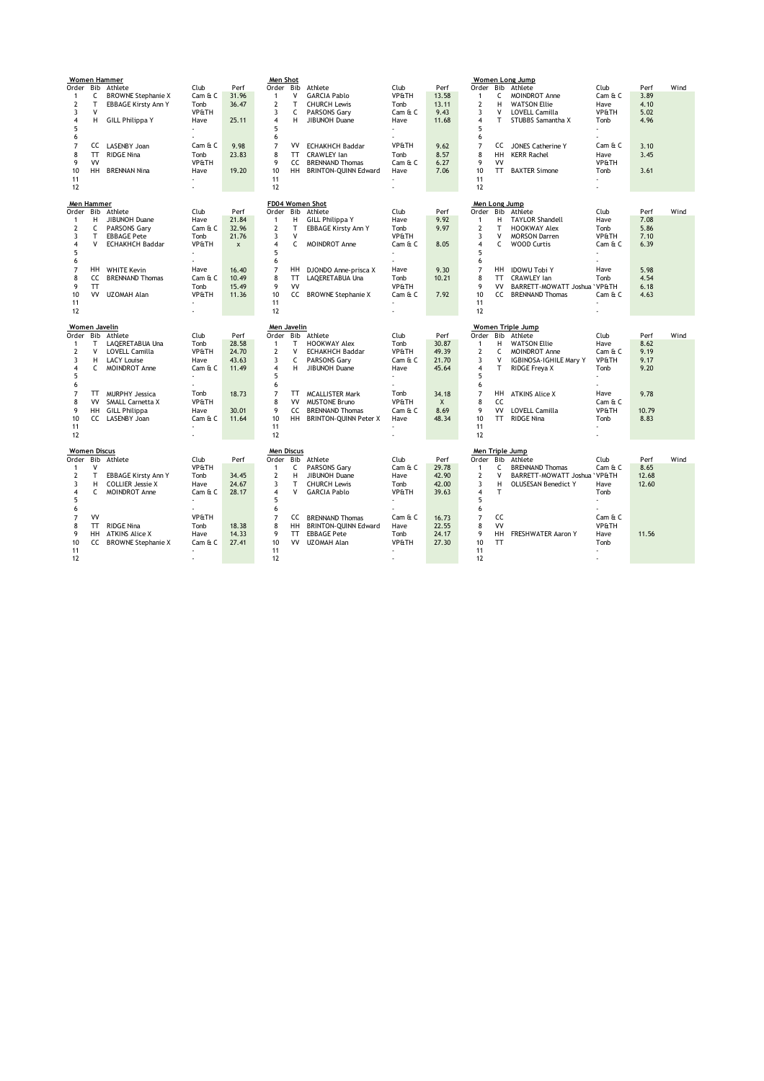|                     |           | <b>Women Hammer</b>        |                  |                | Men Shot          |              |                              |                  |              |                         |           | Women Long Jump               |                  |       |      |
|---------------------|-----------|----------------------------|------------------|----------------|-------------------|--------------|------------------------------|------------------|--------------|-------------------------|-----------|-------------------------------|------------------|-------|------|
| Order Bib           |           | Athlete                    | Club             | Perf           | Order Bib         |              | Athlete                      | Club             | Perf         | Order                   |           | Bib Athlete                   | Club             | Perf  | Wind |
| 1                   | c         | <b>BROWNE Stephanie X</b>  | Cam & C          | 31.96          | $\mathbf{1}$      | V            | <b>GARCIA Pablo</b>          | <b>VP&amp;TH</b> | 13.58        | $\mathbf{1}$            | С         | MOINDROT Anne                 | Cam & C          | 3.89  |      |
| 2                   | T         | <b>EBBAGE Kirsty Ann Y</b> | Tonb             | 36.47          | $\overline{2}$    | T            | <b>CHURCH Lewis</b>          | Tonb             | 13.11        | $\overline{2}$          | H         | <b>WATSON Ellie</b>           | Have             | 4.10  |      |
| 3                   | v         |                            | VP&TH            |                | 3                 | C            | PARSONS Gary                 | Cam & C          | 9.43         | 3                       | v         | LOVELL Camilla                | VP&TH            | 5.02  |      |
| 4                   | H         | <b>GILL Philippa Y</b>     | Have             | 25.11          | $\overline{4}$    | н            | JIBUNOH Duane                | Have             | 11.68        | $\overline{4}$          | т         | STUBBS Samantha X             | Tonb             | 4.96  |      |
| 5                   |           |                            |                  |                | 5                 |              |                              |                  |              | 5                       |           |                               |                  |       |      |
| 6                   |           |                            |                  |                | 6                 |              |                              |                  |              | 6                       |           |                               |                  |       |      |
| 7                   | CC        | LASENBY Joan               | Cam & C          | 9.98           | $\overline{7}$    | VV           | <b>ECHAKHCH Baddar</b>       | <b>VP&amp;TH</b> | 9.62         | $\overline{7}$          | CC        | JONES Catherine Y             | Cam & C          | 3.10  |      |
| 8                   | TT        | <b>RIDGE Nina</b>          | Tonb             | 23.83          | 8                 | <b>TT</b>    | CRAWLEY Ian                  | Tonb             | 8.57         | 8                       | HH        | <b>KERR Rachel</b>            | Have             | 3.45  |      |
| 9                   | VV        |                            | VP&TH            |                | 9                 | CC           | <b>BRENNAND Thomas</b>       | Cam & C          | 6.27         | 9                       | <b>VV</b> |                               | VP&TH            |       |      |
| 10                  | HH.       | <b>BRENNAN Nina</b>        | Have             | 19.20          | 10                | HH.          | <b>BRINTON-QUINN Edward</b>  | Have             | 7.06         | 10                      | <b>TT</b> | <b>BAXTER Simone</b>          | Tonb             | 3.61  |      |
| 11                  |           |                            |                  |                | 11                |              |                              |                  |              | 11                      |           |                               |                  |       |      |
| 12                  |           |                            |                  |                | 12                |              |                              |                  |              | 12                      |           |                               |                  |       |      |
|                     |           |                            |                  |                |                   |              |                              |                  |              |                         |           |                               |                  |       |      |
| Men Hammer          |           |                            |                  |                |                   |              | FD04 Women Shot              |                  |              | Men Long Jump           |           |                               |                  |       |      |
| Order               | Bib       | Athlete                    | Club             | Perf           | Order Bib         |              | Athlete                      | Club             | Perf         | Order                   | Bib       | Athlete                       | Club             | Perf  | Wind |
| 1                   | н         | JIBUNOH Duane              | Have             | 21.84          | $\mathbf{1}$      | н            | <b>GILL Philippa Y</b>       | Have             | 9.92         | $\mathbf{1}$            | н         | <b>TAYLOR Shandell</b>        | Have             | 7.08  |      |
| 2                   | c         | PARSONS Gary               | Cam & C          | 32.96          | $\overline{2}$    | T            | <b>EBBAGE Kirsty Ann Y</b>   | Tonb             | 9.97         | $\overline{2}$          | т         | <b>HOOKWAY Alex</b>           | Tonb             | 5.86  |      |
| 3                   | T         | <b>EBBAGE Pete</b>         | Tonb             | 21.76          | 3                 | $\mathsf{V}$ |                              | <b>VP&amp;TH</b> |              | 3                       | v         | <b>MORSON Darren</b>          | <b>VP&amp;TH</b> | 7.10  |      |
| 4                   | v         | <b>ECHAKHCH Baddar</b>     | VP&TH            | $\pmb{\times}$ | $\overline{4}$    | C            | <b>MOINDROT Anne</b>         | Cam & C          | 8.05         | $\overline{4}$          | C         | <b>WOOD Curtis</b>            | Cam & C          | 6.39  |      |
| 5                   |           |                            |                  |                | 5                 |              |                              |                  |              | 5                       |           |                               |                  |       |      |
| 6                   |           |                            |                  |                | 6                 |              |                              |                  |              | 6                       |           |                               |                  |       |      |
| 7                   | <b>HH</b> | <b>WHITE Kevin</b>         | Have             | 16.40          | $\overline{7}$    | HН           | DJONDO Anne-prisca X         | Have             | 9.30         | $\overline{7}$          | HH.       | <b>IDOWU Tobi Y</b>           | Have             | 5.98  |      |
| 8                   | cc        | <b>BRENNAND Thomas</b>     | Cam & C          | 10.49          | 8                 | TT           | LAQERETABUA Una              | Tonb             | 10.21        | 8                       | <b>TT</b> | CRAWLEY Ian                   | Tonb             | 4.54  |      |
| 9                   | TT        |                            | Tonb             | 15.49          | 9                 | VV           |                              | VP&TH            |              | 9                       | VV        | BARRETT-MOWATT Joshua 'VP&TH  |                  | 6.18  |      |
| 10                  | VV        | UZOMAH Alan                | <b>VP&amp;TH</b> | 11.36          | 10                | cc           | <b>BROWNE Stephanie X</b>    | Cam & C          | 7.92         | 10                      | cc        | <b>BRENNAND Thomas</b>        | Cam & C          | 4.63  |      |
| 11                  |           |                            |                  |                | 11                |              |                              |                  |              | 11                      |           |                               |                  |       |      |
| 12                  |           |                            |                  |                | 12                |              |                              |                  |              | 12                      |           |                               |                  |       |      |
|                     |           |                            |                  |                |                   |              |                              |                  |              |                         |           |                               |                  |       |      |
|                     |           |                            |                  |                |                   |              |                              |                  |              |                         |           |                               |                  |       |      |
| Women Javelin       |           |                            |                  |                | Men Javelin       |              |                              |                  |              |                         |           | Women Triple Jump             |                  |       |      |
| Order               | Bib       | Athlete                    | Club             | Perf           | Order             | Bib          | Athlete                      | Club             | Perf         | Order                   | Bib       | Athlete                       | Club             | Perf  | Wind |
| 1                   | т         | LAQERETABUA Una            | Tonb             | 28.58          | $\mathbf{1}$      | T            | <b>HOOKWAY Alex</b>          | Tonb             | 30.87        | $\mathbf{1}$            | н         | <b>WATSON Ellie</b>           | Have             | 8.62  |      |
| 2                   | v         | LOVELL Camilla             | VP&TH            | 24.70          | $\overline{2}$    | $\mathsf{v}$ | <b>ECHAKHCH Baddar</b>       | VP&TH            | 49.39        | $\overline{2}$          | с         | MOINDROT Anne                 | Cam & C          | 9.19  |      |
| 3                   | н         | <b>LACY Louise</b>         | Have             | 43.63          | 3                 | C            | <b>PARSONS Garv</b>          | Cam & C          | 21.70        | $\overline{3}$          | ٧         | <b>IGBINOSA-IGHILE Marv Y</b> | VP&TH            | 9.17  |      |
| 4                   | c         | MOINDROT Anne              | Cam & C          | 11.49          | 4                 | Н            | JIBUNOH Duane                | Have             | 45.64        | $\overline{4}$          | T         | RIDGE Freya X                 | Tonb             | 9.20  |      |
| 5                   |           |                            |                  |                | 5                 |              |                              |                  |              | 5                       |           |                               |                  |       |      |
| 6                   |           |                            |                  |                | 6                 |              |                              |                  |              | 6                       |           |                               |                  |       |      |
| 7                   | TT        | <b>MURPHY Jessica</b>      | Tonb             | 18.73          | $\overline{7}$    | TT           | <b>MCALLISTER Mark</b>       | Tonb             | 34.18        | $\overline{7}$          | HH        | <b>ATKINS Alice X</b>         | Have             | 9.78  |      |
| 8                   | VV        | <b>SMALL Carnetta X</b>    | VP&TH            |                | 8                 | VV           | <b>MUSTONE Bruno</b>         | <b>VP&amp;TH</b> | $\mathsf{X}$ | 8                       | CC        |                               | Cam & C          |       |      |
| 9                   | <b>HH</b> | <b>GILL Philippa</b>       | Have             | 30.01          | 9                 | cc           | <b>BRENNAND Thomas</b>       | Cam & C          | 8.69         | 9                       | VV        | <b>LOVELL Camilla</b>         | <b>VP&amp;TH</b> | 10.79 |      |
| 10                  |           | CC LASENBY Joan            | Cam & C          | 11.64          | 10                | HH.          | <b>BRINTON-QUINN Peter X</b> | Have             | 48.34        | 10                      | <b>TT</b> | <b>RIDGE Nina</b>             | Tonb             | 8.83  |      |
| 11                  |           |                            |                  |                | 11                |              |                              |                  |              | 11                      |           |                               |                  |       |      |
| 12                  |           |                            |                  |                | 12                |              |                              |                  |              | 12                      |           |                               |                  |       |      |
|                     |           |                            |                  |                |                   |              |                              |                  |              |                         |           |                               |                  |       |      |
| <b>Women Discus</b> |           |                            |                  |                | <b>Men Discus</b> |              |                              |                  |              |                         |           | Men Triple Jump               |                  |       |      |
| Order               | Bib       | Athlete                    | Club             | Perf           |                   |              | Order Bib Athlete            | Club             | Perf         | Order                   | Bib       | Athlete                       | Club             | Perf  | Wind |
| $\mathbf{1}$        | v         |                            | VP&TH            |                | $\mathbf{1}$      | c            | PARSONS Gary                 | Cam & C          | 29.78        | $\mathbf{1}$            | с         | <b>BRENNAND Thomas</b>        | Cam & C          | 8.65  |      |
| 2                   | T         | <b>EBBAGE Kirsty Ann Y</b> | Tonb             | 34.45          | $\overline{2}$    | Н            | JIBUNOH Duane                | Have             | 42.90        | $\overline{2}$          | v         | BARRETT-MOWATT Joshua 'VP&TH  |                  | 12.68 |      |
| 3                   | н         | <b>COLLIER Jessie X</b>    | Have             | 24.67          | 3                 | T            | <b>CHURCH Lewis</b>          | Tonb             | 42.00        | $\overline{\mathbf{3}}$ | H         | <b>OLUSESAN Benedict Y</b>    | Have             | 12.60 |      |
| 4                   | C.        | <b>MOINDROT Anne</b>       | Cam & C          | 28.17          | $\overline{4}$    | v            | <b>GARCIA Pablo</b>          | <b>VP&amp;TH</b> | 39.63        | $\overline{4}$          | T         |                               | Tonb             |       |      |
| 5                   |           |                            |                  |                | 5                 |              |                              |                  |              | 5                       |           |                               | ÷.               |       |      |
| 6                   |           |                            |                  |                | 6                 |              |                              |                  |              | 6                       |           |                               |                  |       |      |
| 7                   | VV        |                            | <b>VP&amp;TH</b> |                | $\overline{7}$    | cc           | <b>BRENNAND Thomas</b>       | Cam & C          | 16.73        | $\overline{7}$          | cc        |                               | Cam & C          |       |      |
| 8                   | TT        | <b>RIDGE Nina</b>          | Tonb             | 18.38          | 8                 | HH.          | <b>BRINTON-QUINN Edward</b>  | Have             | 22.55        | 8                       | VV        |                               | <b>VP&amp;TH</b> |       |      |
| 9                   | HH        | <b>ATKINS Alice X</b>      | Have             | 14.33          | 9                 | <b>TT</b>    | <b>EBBAGE Pete</b>           | Tonb             | 24.17        | 9                       | HH        | FRESHWATER Aaron Y            | Have             | 11.56 |      |
| 10                  | CC        | <b>BROWNE Stephanie X</b>  | Cam & C          | 27.41          | 10                | <b>VV</b>    | UZOMAH Alan                  | VP&TH            | 27.30        | 10                      | <b>TT</b> |                               | Tonb             |       |      |
| 11<br>12            |           |                            |                  |                | 11<br>12          |              |                              |                  |              | 11<br>12                |           |                               | ٠                |       |      |